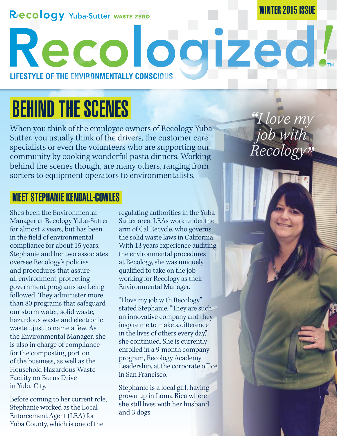#### RECOLOGY. Yuba-Sutter WASTE ZERO

#### WINTER 2015 ISSUE

*"I love my* 

*job with* 

*Recology"*

**LIFESTYLE OF THE ENVIRONMENTALLY CONSCIOUS**

# BEHIND THE SCENES

When you think of the employee owners of Recology Yuba-Sutter, you usually think of the drivers, the customer care specialists or even the volunteers who are supporting our community by cooking wonderful pasta dinners. Working behind the scenes though, are many others, ranging from sorters to equipment operators to environmentalists.

#### MEET STEPHANIE KENDALL-COWLES

She's been the Environmental Manager at Recology Yuba-Sutter for almost 2 years, but has been in the field of environmental compliance for about 15 years. Stephanie and her two associates oversee Recology's policies and procedures that assure all environment-protecting government programs are being followed. They administer more than 80 programs that safeguard our storm water, solid waste, hazardous waste and electronic waste…just to name a few. As the Environmental Manager, she is also in charge of compliance for the composting portion of the business, as well as the Household Hazardous Waste Facility on Burns Drive in Yuba City.

Before coming to her current role, Stephanie worked as the Local Enforcement Agent (LEA) for Yuba County, which is one of the

regulating authorities in the Yuba Sutter area. LEAs work under the arm of Cal Recycle, who governs the solid waste laws in California. With 13 years experience auditing the environmental procedures at Recology, she was uniquely qualified to take on the job working for Recology as their Environmental Manager.

Recologized!

"I love my job with Recology", stated Stephanie. "They are such an innovative company and they inspire me to make a difference in the lives of others every day," she continued. She is currently enrolled in a 9-month company program, Recology Academy Leadership, at the corporate office in San Francisco.

Stephanie is a local girl, having grown up in Loma Rica where she still lives with her husband and 3 dogs.